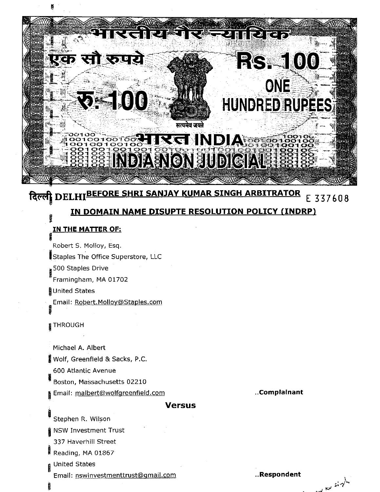

# दिल्ली DELHIBEFORE SHRI SANJAY KUMAR SINGH ARBITRATOR E 337608 IN DOMAIN NAME DISUPTE RESOLUTION POLICY (INDRP)

# <u>IN THE MATTER OF:</u>

Robert S. Molloy, Esq. Staples The Office Superstore, LLC 500 Staples Drive Framingham, MA 01702 United States Email: Robert.Molloy@Staples.com

# **STHROUGH**

Michael A. Albert Wolf, Greenfield & Sacks, P.C. 600 Atlantic Avenue

Boston, Massachusetts 02210

Email: malbert@wolfgreenfield.com

### **Versus**

Stephen R. Wilson

**NSW Investment Trust** 

337 Haverhill Street

Reading, MA 01867

**United States** 

Email: nswinvestmenttrust@gmail.com

..Respondent

April 19

..Complainant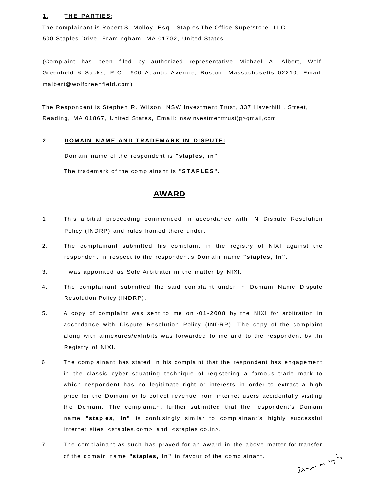#### **1.** THE PARTIES:

The complainant is Robert S. Molloy, Esq., Staples The Office Supe'store, LLC 500 Staples Drive, Framingham, MA 01702, United States

(Complaint has been filed by authorized representative Michael A. Albert, Wolf, Greenfield & Sacks , P.C. , 600 Atlantic Avenue, Boston, Massachusetts 02210, Email: [malbert@wolfqreenfield.com\)](mailto:malbert@wolfqreenfield.com)

The Respondent is Stephen R. Wilson, NSW Investment Trust, 337 Haverhill , Street, Reading, MA 01867, United States, Email: nswinvestmenttrust(q>qmail,com

#### 2. DOMAIN NAME AND TRADEMARK IN DISPUTE:

Domain name of the respondent is **"staples, in"**  The trademark of the complainant is **"STAPLES" .** 

# **AWARD**

- 1. This arbitral proceeding commenced in accordance with IN Dispute Resolution Policy (INDRP) and rules framed there under.
- 2. The complainant submitted his complaint in the registry of NIXI against the respondent in respect to the respondent's Domain name **"staples, in" .**
- 3. I was appointed as Sole Arbitrator in the matter by NIXI.
- 4. The complainant submitted the said complaint under In Domain Name Dispute Resolution Policy (INDRP).
- 5. A copy of complaint was sent to me onl-01-200 8 by the NIXI for arbitration in accordance with Dispute Resolution Policy (INDRP). The copy of the complaint along with annexures/exhibits was forwarded to me and to the respondent by .In Registry of NIXI.
- 6. The complainant has stated in his complaint that the respondent has engagement in the classic cyber squatting technique of registering a famous trade mark to which respondent has no legitimate right or interests in order to extract a high price for the Domain or to collect revenue from internet users accidentally visiting the Domain. The complainant further submitted that the respondent's Domain name **"staples, in"** is confusingly similar to complainant's highly successful internet sites <staples.com> and <staples.co.in>.
- 7. The complainant as such has prayed for an award in the above matter for transfer Jangus no right of the domain name **"staples, in"** in favour of the complainant.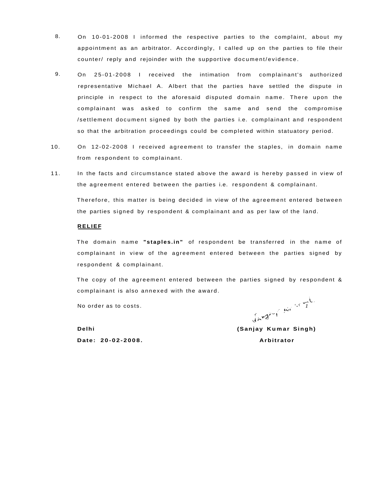- 8. On 10-01-2008 I informed the respective parties to the complaint, about my appointment as an arbitrator. Accordingly , I called up on the parties to file their counter/ reply and rejoinder with the supportive document/evidence .
- representative Michael A. Albert that the parties have settled the dispute in principle in respect to the aforesaid disputed domain name. There upon the complainant was asked to confirm the same and send the compromise /settlement document signed by both the parties i.e. complainant and respondent so that the arbitration proceedings could be completed within statuatory period. 9. On 25-01-2008 I received the intimation from complainant's authorized
- 10. On 12-02-2008 I received agreement to transfer the staples, in domain name from respondent to complainant.
- 11. In the facts and circumstance stated above the award is hereby passed in view of the agreement entered between the parties i.e. respondent & complainant.

Therefore, this matter is being decided in view of the agreement entered between the parties signed by respondent & complainant and as per law of the land.

#### **RELIEF**

The domain name "staples.in" of respondent be transferred in the name of complainant in view of the agreement entered between the parties signed by respondent & complainant.

The copy of the agreement entered between the parties signed by respondent & complainant is also annexed with the award.

No order as to costs.

 $\mathcal{A} = \mathcal{A} \cup \mathcal{A}$  and  $\mathcal{A} = \mathcal{A} \cup \mathcal{A}$  . The contract of  $\mathcal{A} = \mathcal{A} \cup \mathcal{A}$ 

**Delhi** (Sanjay Kumar Singh) **Date: 20-02-2008 . Arbitrator**